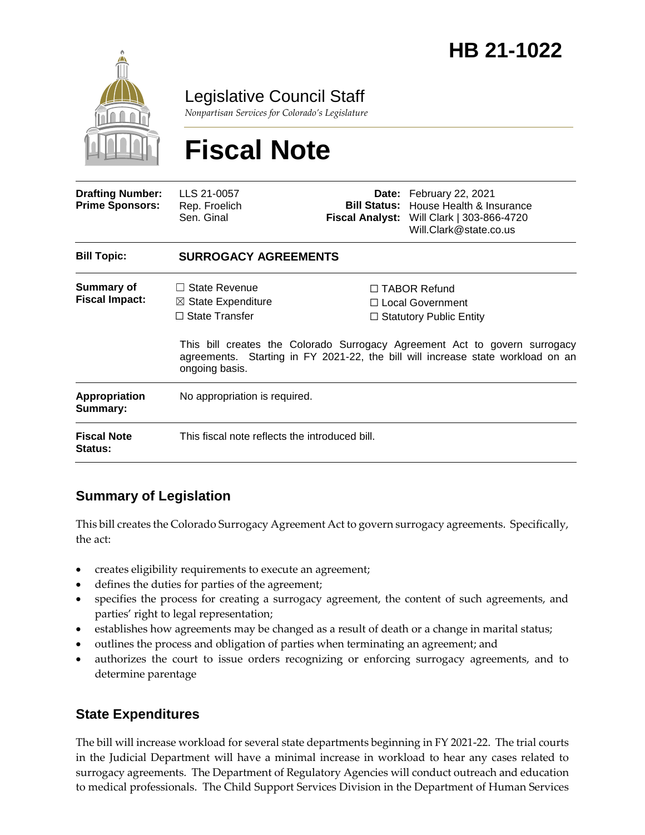

Legislative Council Staff

*Nonpartisan Services for Colorado's Legislature*

# **Fiscal Note**

| <b>Drafting Number:</b><br><b>Prime Sponsors:</b> | LLS 21-0057<br>Rep. Froelich<br>Sen. Ginal                                                       |  | Date: February 22, 2021<br><b>Bill Status:</b> House Health & Insurance<br>Fiscal Analyst: Will Clark   303-866-4720<br>Will.Clark@state.co.us                                                                                                    |  |
|---------------------------------------------------|--------------------------------------------------------------------------------------------------|--|---------------------------------------------------------------------------------------------------------------------------------------------------------------------------------------------------------------------------------------------------|--|
| <b>Bill Topic:</b>                                | <b>SURROGACY AGREEMENTS</b>                                                                      |  |                                                                                                                                                                                                                                                   |  |
| Summary of<br><b>Fiscal Impact:</b>               | $\Box$ State Revenue<br>$\boxtimes$ State Expenditure<br>$\Box$ State Transfer<br>ongoing basis. |  | $\Box$ TABOR Refund<br>$\Box$ Local Government<br>$\Box$ Statutory Public Entity<br>This bill creates the Colorado Surrogacy Agreement Act to govern surrogacy<br>agreements. Starting in FY 2021-22, the bill will increase state workload on an |  |
| Appropriation<br>Summary:                         | No appropriation is required.                                                                    |  |                                                                                                                                                                                                                                                   |  |
| <b>Fiscal Note</b><br><b>Status:</b>              | This fiscal note reflects the introduced bill.                                                   |  |                                                                                                                                                                                                                                                   |  |

## **Summary of Legislation**

This bill creates the Colorado Surrogacy Agreement Act to govern surrogacy agreements. Specifically, the act:

- creates eligibility requirements to execute an agreement;
- defines the duties for parties of the agreement;
- specifies the process for creating a surrogacy agreement, the content of such agreements, and parties' right to legal representation;
- establishes how agreements may be changed as a result of death or a change in marital status;
- outlines the process and obligation of parties when terminating an agreement; and
- authorizes the court to issue orders recognizing or enforcing surrogacy agreements, and to determine parentage

## **State Expenditures**

The bill will increase workload for several state departments beginning in FY 2021-22. The trial courts in the Judicial Department will have a minimal increase in workload to hear any cases related to surrogacy agreements. The Department of Regulatory Agencies will conduct outreach and education to medical professionals. The Child Support Services Division in the Department of Human Services